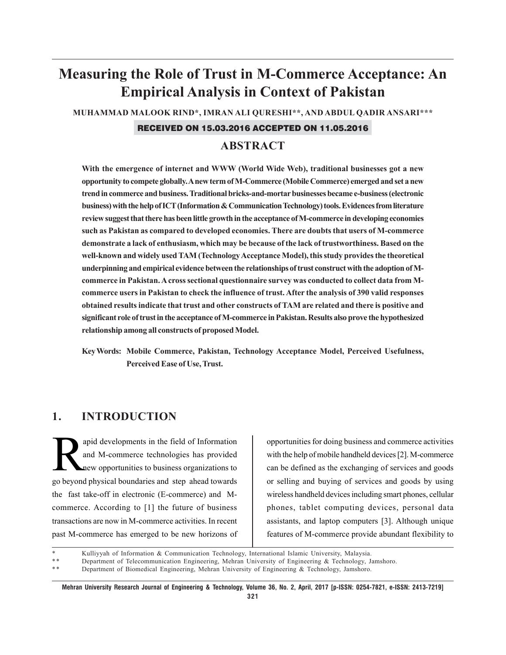# **Measuring the Role of Trust in M-Commerce Acceptance: An Empirical Analysis in Context of Pakistan**

**MUHAMMAD MALOOK RIND\*, IMRAN ALI QURESHI\*\*, AND ABDUL QADIR ANSARI\*\*\***

#### RECEIVED ON 15.03.2016 ACCEPTED ON 11.05.2016

# **ABSTRACT**

**With the emergence of internet and WWW (World Wide Web), traditional businesses got a new opportunity to compete globally. A new term of M-Commerce (Mobile Commerce) emerged and set a new trend in commerce and business. Traditional bricks-and-mortar businesses became e-business (electronic business) with the help of ICT (Information & Communication Technology) tools. Evidences from literature review suggest that there has been little growth in the acceptance of M-commerce in developing economies such as Pakistan as compared to developed economies. There are doubts that users of M-commerce demonstrate a lack of enthusiasm, which may be because of the lack of trustworthiness. Based on the well-known and widely used TAM (Technology Acceptance Model), this study provides the theoretical underpinning and empirical evidence between the relationships of trust construct with the adoption of Mcommerce in Pakistan. A cross sectional questionnaire survey was conducted to collect data from Mcommerce users in Pakistan to check the influence of trust. After the analysis of 390 valid responses obtained results indicate that trust and other constructs of TAM are related and there is positive and significant role of trust in the acceptance of M-commerce in Pakistan. Results also prove the hypothesized relationship among all constructs of proposed Model.**

**Key Words: Mobile Commerce, Pakistan, Technology Acceptance Model, Perceived Usefulness, Perceived Ease of Use, Trust.**

# **1. INTRODUCTION**

apid developments in the field of Information<br>and M-commerce technologies has provided<br>new opportunities to business organizations to and M-commerce technologies has provided new opportunities to business organizations to go beyond physical boundaries and step ahead towards the fast take-off in electronic (E-commerce) and Mcommerce. According to [1] the future of business transactions are now in M-commerce activities. In recent past M-commerce has emerged to be new horizons of

opportunities for doing business and commerce activities with the help of mobile handheld devices [2]. M-commerce can be defined as the exchanging of services and goods or selling and buying of services and goods by using wireless handheld devices including smart phones, cellular phones, tablet computing devices, personal data assistants, and laptop computers [3]. Although unique features of M-commerce provide abundant flexibility to

Kulliyyah of Information & Communication Technology, International Islamic University, Malaysia.

<sup>\*\*</sup> Department of Telecommunication Engineering, Mehran University of Engineering & Technology, Jamshoro.<br>\*\* Penertment of Piemedical Engineering, Mehran University of Engineering & Technology, Jamshoro.

Department of Biomedical Engineering, Mehran University of Engineering & Technology, Jamshoro.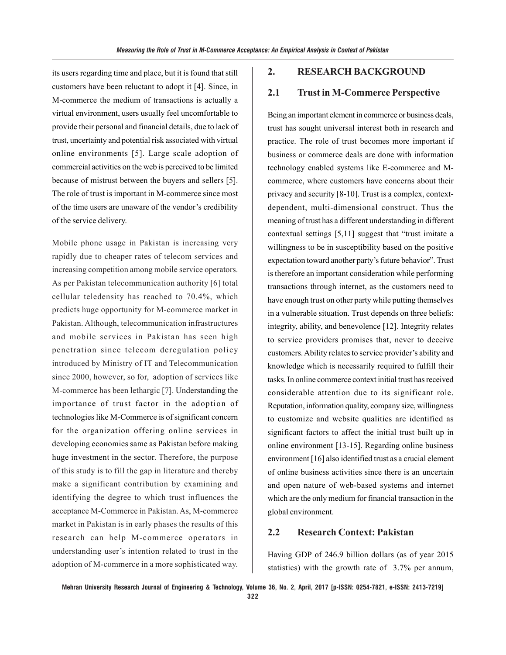its users regarding time and place, but it is found that still customers have been reluctant to adopt it [4]. Since, in M-commerce the medium of transactions is actually a virtual environment, users usually feel uncomfortable to provide their personal and financial details, due to lack of trust, uncertainty and potential risk associated with virtual online environments [5]. Large scale adoption of commercial activities on the web is perceived to be limited because of mistrust between the buyers and sellers [5]. The role of trust is important in M-commerce since most of the time users are unaware of the vendor's credibility of the service delivery.

Mobile phone usage in Pakistan is increasing very rapidly due to cheaper rates of telecom services and increasing competition among mobile service operators. As per Pakistan telecommunication authority [6] total cellular teledensity has reached to 70.4%, which predicts huge opportunity for M-commerce market in Pakistan. Although, telecommunication infrastructures and mobile services in Pakistan has seen high penetration since telecom deregulation policy introduced by Ministry of IT and Telecommunication since 2000, however, so for, adoption of services like M-commerce has been lethargic [7]. Understanding the importance of trust factor in the adoption of technologies like M-Commerce is of significant concern for the organization offering online services in developing economies same as Pakistan before making huge investment in the sector. Therefore, the purpose of this study is to fill the gap in literature and thereby make a significant contribution by examining and identifying the degree to which trust influences the acceptance M-Commerce in Pakistan. As, M-commerce market in Pakistan is in early phases the results of this research can help M-commerce operators in understanding user's intention related to trust in the adoption of M-commerce in a more sophisticated way.

#### **2. RESEARCH BACKGROUND**

## **2.1 Trust in M-Commerce Perspective**

Being an important element in commerce or business deals, trust has sought universal interest both in research and practice. The role of trust becomes more important if business or commerce deals are done with information technology enabled systems like E-commerce and Mcommerce, where customers have concerns about their privacy and security [8-10]. Trust is a complex, contextdependent, multi-dimensional construct. Thus the meaning of trust has a different understanding in different contextual settings [5,11] suggest that "trust imitate a willingness to be in susceptibility based on the positive expectation toward another party's future behavior". Trust is therefore an important consideration while performing transactions through internet, as the customers need to have enough trust on other party while putting themselves in a vulnerable situation. Trust depends on three beliefs: integrity, ability, and benevolence [12]. Integrity relates to service providers promises that, never to deceive customers. Ability relates to service provider's ability and knowledge which is necessarily required to fulfill their tasks. In online commerce context initial trust has received considerable attention due to its significant role. Reputation, information quality, company size, willingness to customize and website qualities are identified as significant factors to affect the initial trust built up in online environment [13-15]. Regarding online business environment [16] also identified trust as a crucial element of online business activities since there is an uncertain and open nature of web-based systems and internet which are the only medium for financial transaction in the global environment.

#### **2.2 Research Context: Pakistan**

Having GDP of 246.9 billion dollars (as of year 2015 statistics) with the growth rate of 3.7% per annum,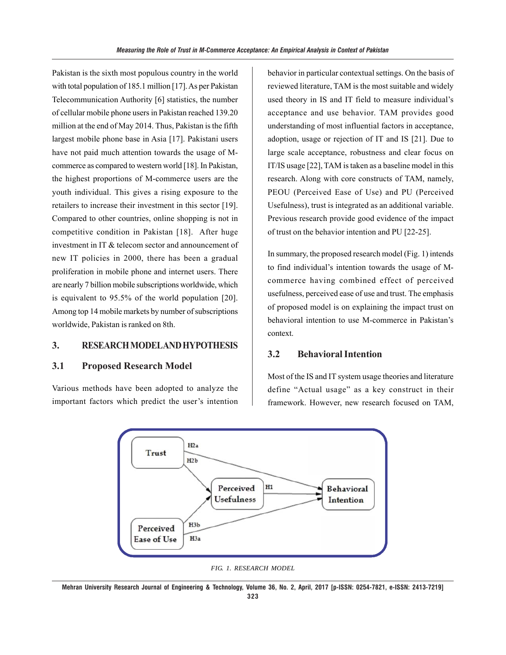Pakistan is the sixth most populous country in the world with total population of 185.1 million [17]. As per Pakistan Telecommunication Authority [6] statistics, the number of cellular mobile phone users in Pakistan reached 139.20 million at the end of May 2014. Thus, Pakistan is the fifth largest mobile phone base in Asia [17]. Pakistani users have not paid much attention towards the usage of Mcommerce as compared to western world [18]. In Pakistan, the highest proportions of M-commerce users are the youth individual. This gives a rising exposure to the retailers to increase their investment in this sector [19]. Compared to other countries, online shopping is not in competitive condition in Pakistan [18]. After huge investment in IT & telecom sector and announcement of new IT policies in 2000, there has been a gradual proliferation in mobile phone and internet users. There are nearly 7 billion mobile subscriptions worldwide, which is equivalent to 95.5% of the world population [20]. Among top 14 mobile markets by number of subscriptions worldwide, Pakistan is ranked on 8th.

## **3. RESEARCH MODEL AND HYPOTHESIS**

## **3.1 Proposed Research Model**

Various methods have been adopted to analyze the important factors which predict the user's intention behavior in particular contextual settings. On the basis of reviewed literature, TAM is the most suitable and widely used theory in IS and IT field to measure individual's acceptance and use behavior. TAM provides good understanding of most influential factors in acceptance, adoption, usage or rejection of IT and IS [21]. Due to large scale acceptance, robustness and clear focus on IT/IS usage [22], TAM is taken as a baseline model in this research. Along with core constructs of TAM, namely, PEOU (Perceived Ease of Use) and PU (Perceived Usefulness), trust is integrated as an additional variable. Previous research provide good evidence of the impact of trust on the behavior intention and PU [22-25].

In summary, the proposed research model (Fig. 1) intends to find individual's intention towards the usage of Mcommerce having combined effect of perceived usefulness, perceived ease of use and trust. The emphasis of proposed model is on explaining the impact trust on behavioral intention to use M-commerce in Pakistan's context.

#### **3.2 Behavioral Intention**

Most of the IS and IT system usage theories and literature define "Actual usage" as a key construct in their framework. However, new research focused on TAM,



*FIG. 1. RESEARCH MODEL*

**Mehran University Research Journal of Engineering & Technology, Volume 36, No. 2, April, 2017 [p-ISSN: 0254-7821, e-ISSN: 2413-7219]**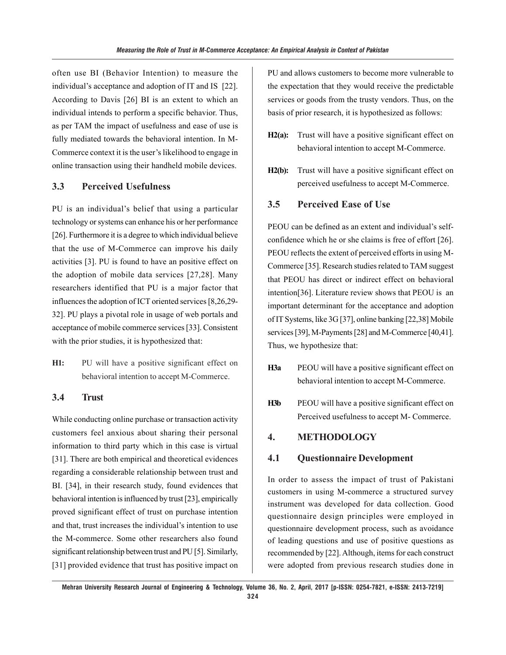often use BI (Behavior Intention) to measure the individual's acceptance and adoption of IT and IS [22]. According to Davis [26] BI is an extent to which an individual intends to perform a specific behavior. Thus, as per TAM the impact of usefulness and ease of use is fully mediated towards the behavioral intention. In M-Commerce context it is the user's likelihood to engage in online transaction using their handheld mobile devices.

# **3.3 Perceived Usefulness**

PU is an individual's belief that using a particular technology or systems can enhance his or her performance [26]. Furthermore it is a degree to which individual believe that the use of M-Commerce can improve his daily activities [3]. PU is found to have an positive effect on the adoption of mobile data services [27,28]. Many researchers identified that PU is a major factor that influences the adoption of ICT oriented services [8,26,29- 32]. PU plays a pivotal role in usage of web portals and acceptance of mobile commerce services [33]. Consistent with the prior studies, it is hypothesized that:

**H1:** PU will have a positive significant effect on behavioral intention to accept M-Commerce.

# **3.4 Trust**

While conducting online purchase or transaction activity customers feel anxious about sharing their personal information to third party which in this case is virtual [31]. There are both empirical and theoretical evidences regarding a considerable relationship between trust and BI. [34], in their research study, found evidences that behavioral intention is influenced by trust [23], empirically proved significant effect of trust on purchase intention and that, trust increases the individual's intention to use the M-commerce. Some other researchers also found significant relationship between trust and PU [5]. Similarly, [31] provided evidence that trust has positive impact on

PU and allows customers to become more vulnerable to the expectation that they would receive the predictable services or goods from the trusty vendors. Thus, on the basis of prior research, it is hypothesized as follows:

- **H2(a):** Trust will have a positive significant effect on behavioral intention to accept M-Commerce.
- **H2(b):** Trust will have a positive significant effect on perceived usefulness to accept M-Commerce.

# **3.5 Perceived Ease of Use**

PEOU can be defined as an extent and individual's selfconfidence which he or she claims is free of effort [26]. PEOU reflects the extent of perceived efforts in using M-Commerce [35]. Research studies related to TAM suggest that PEOU has direct or indirect effect on behavioral intention[36]. Literature review shows that PEOU is an important determinant for the acceptance and adoption of IT Systems, like 3G [37], online banking [22,38] Mobile services [39], M-Payments [28] and M-Commerce [40,41]. Thus, we hypothesize that:

- **H3a** PEOU will have a positive significant effect on behavioral intention to accept M-Commerce.
- **H3b** PEOU will have a positive significant effect on Perceived usefulness to accept M- Commerce.

## **4. METHODOLOGY**

#### **4.1 Questionnaire Development**

In order to assess the impact of trust of Pakistani customers in using M-commerce a structured survey instrument was developed for data collection. Good questionnaire design principles were employed in questionnaire development process, such as avoidance of leading questions and use of positive questions as recommended by [22]. Although, items for each construct were adopted from previous research studies done in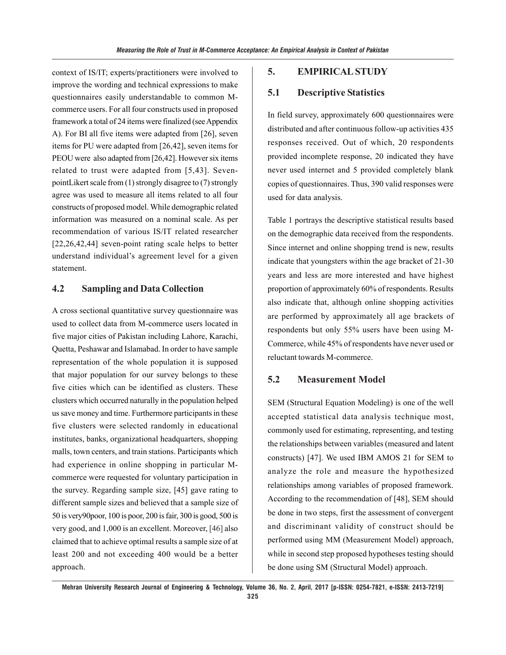context of IS/IT; experts/practitioners were involved to improve the wording and technical expressions to make questionnaires easily understandable to common Mcommerce users. For all four constructs used in proposed framework a total of 24 items were finalized (see Appendix A). For BI all five items were adapted from [26], seven items for PU were adapted from [26,42], seven items for PEOU were also adapted from [26,42]. However six items related to trust were adapted from [5,43]. SevenpointLikert scale from (1) strongly disagree to (7) strongly agree was used to measure all items related to all four constructs of proposed model. While demographic related information was measured on a nominal scale. As per recommendation of various IS/IT related researcher [22,26,42,44] seven-point rating scale helps to better understand individual's agreement level for a given statement.

## **4.2 Sampling and Data Collection**

A cross sectional quantitative survey questionnaire was used to collect data from M-commerce users located in five major cities of Pakistan including Lahore, Karachi, Quetta, Peshawar and Islamabad. In order to have sample representation of the whole population it is supposed that major population for our survey belongs to these five cities which can be identified as clusters. These clusters which occurred naturally in the population helped us save money and time. Furthermore participants in these five clusters were selected randomly in educational institutes, banks, organizational headquarters, shopping malls, town centers, and train stations. Participants which had experience in online shopping in particular Mcommerce were requested for voluntary participation in the survey. Regarding sample size, [45] gave rating to different sample sizes and believed that a sample size of 50 is very90poor, 100 is poor, 200 is fair, 300 is good, 500 is very good, and 1,000 is an excellent. Moreover, [46] also claimed that to achieve optimal results a sample size of at least 200 and not exceeding 400 would be a better approach.

#### **5. EMPIRICAL STUDY**

### **5.1 Descriptive Statistics**

In field survey, approximately 600 questionnaires were distributed and after continuous follow-up activities 435 responses received. Out of which, 20 respondents provided incomplete response, 20 indicated they have never used internet and 5 provided completely blank copies of questionnaires. Thus, 390 valid responses were used for data analysis.

Table 1 portrays the descriptive statistical results based on the demographic data received from the respondents. Since internet and online shopping trend is new, results indicate that youngsters within the age bracket of 21-30 years and less are more interested and have highest proportion of approximately 60% of respondents. Results also indicate that, although online shopping activities are performed by approximately all age brackets of respondents but only 55% users have been using M-Commerce, while 45% of respondents have never used or reluctant towards M-commerce.

## **5.2 Measurement Model**

SEM (Structural Equation Modeling) is one of the well accepted statistical data analysis technique most, commonly used for estimating, representing, and testing the relationships between variables (measured and latent constructs) [47]. We used IBM AMOS 21 for SEM to analyze the role and measure the hypothesized relationships among variables of proposed framework. According to the recommendation of [48], SEM should be done in two steps, first the assessment of convergent and discriminant validity of construct should be performed using MM (Measurement Model) approach, while in second step proposed hypotheses testing should be done using SM (Structural Model) approach.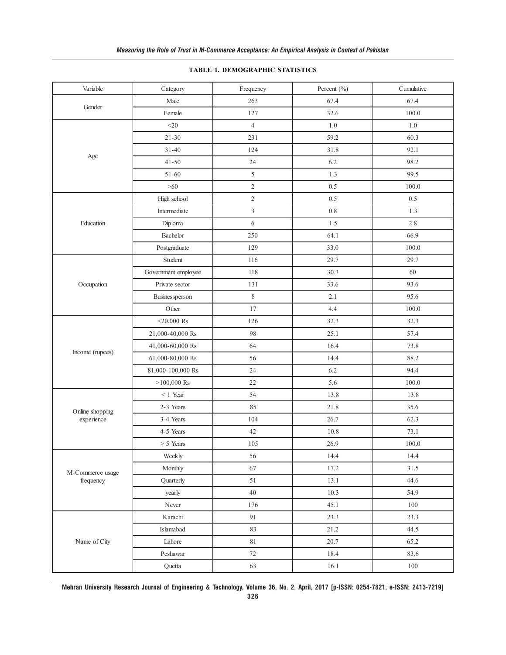| Variable                      | Category            | Frequency      | Percent (%) | Cumulative |
|-------------------------------|---------------------|----------------|-------------|------------|
|                               | Male                | 263            | 67.4        | 67.4       |
| Gender                        | Female              | 127            | 32.6        | 100.0      |
|                               | $<$ 20              | $\overline{4}$ | $1.0\,$     | $1.0\,$    |
|                               | $21 - 30$           | 231            | 59.2        | 60.3       |
|                               | $31 - 40$           | 124            | 31.8        | 92.1       |
| Age                           | $41 - 50$           | 24             | 6.2         | 98.2       |
|                               | $51 - 60$           | 5              | 1.3         | 99.5       |
|                               | $>60$               | $\mathbf{2}$   | 0.5         | 100.0      |
|                               | High school         | $\overline{c}$ | 0.5         | 0.5        |
|                               | Intermediate        | $\overline{3}$ | 0.8         | 1.3        |
| Education                     | Diploma             | 6              | 1.5         | 2.8        |
|                               | Bachelor            | 250            | 64.1        | 66.9       |
|                               | Postgraduate        | 129            | 33.0        | 100.0      |
|                               | Student             | 116            | 29.7        | 29.7       |
|                               | Government employee | 118            | 30.3        | 60         |
| Occupation                    | Private sector      | 131            | 33.6        | 93.6       |
|                               | Businessperson      | $\,8\,$        | 2.1         | 95.6       |
|                               | Other               | 17             | 4.4         | 100.0      |
|                               | $<$ 20,000 Rs       | 126            | 32.3        | 32.3       |
|                               | 21,000-40,000 Rs    | 98             | 25.1        | 57.4       |
|                               | 41,000-60,000 Rs    | 64             | 16.4        | 73.8       |
| Income (rupees)               | 61,000-80,000 Rs    | 56             | 14.4        | 88.2       |
|                               | 81,000-100,000 Rs   | 24             | 6.2         | 94.4       |
|                               | $>100,000$ Rs       | 22             | 5.6         | 100.0      |
|                               | $< 1$ Year          | 54             | 13.8        | 13.8       |
| Online shopping               | 2-3 Years           | 85             | 21.8        | 35.6       |
| experience                    | 3-4 Years           | 104            | 26.7        | 62.3       |
|                               | 4-5 Years           | 42             | 10.8        | 73.1       |
|                               | > 5 Years           | 105            | 26.9        | 100.0      |
| M-Commerce usage<br>frequency | Weekly              | 56             | 14.4        | 14.4       |
|                               | Monthly             | 67             | 17.2        | 31.5       |
|                               | Quarterly           | 51             | 13.1        | 44.6       |
|                               | yearly              | 40             | 10.3        | 54.9       |
|                               | Never               | 176            | 45.1        | 100        |
|                               | Karachi             | 91             | 23.3        | 23.3       |
|                               | Islamabad           | 83             | 21.2        | 44.5       |
| Name of City                  | Lahore              | $81\,$         | 20.7        | 65.2       |
|                               | Peshawar            | 72             | 18.4        | 83.6       |
|                               | Quetta              | 63             | 16.1        | 100        |

#### **TABLE 1. DEMOGRAPHIC STATISTICS**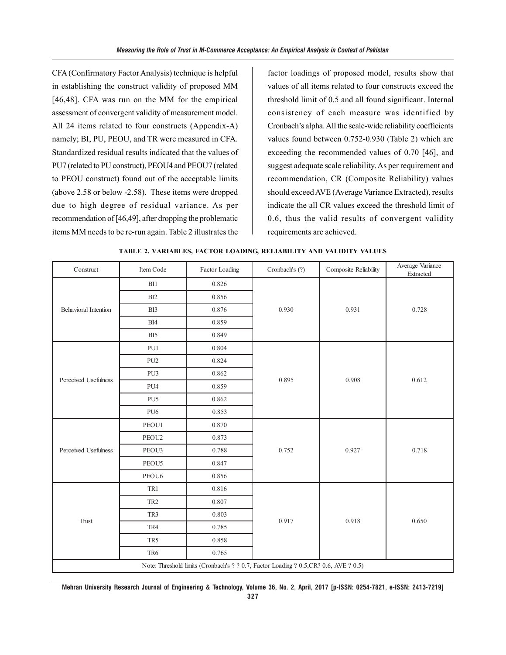CFA (Confirmatory Factor Analysis) technique is helpful in establishing the construct validity of proposed MM [46,48]. CFA was run on the MM for the empirical assessment of convergent validity of measurement model. All 24 items related to four constructs (Appendix-A) namely; BI, PU, PEOU, and TR were measured in CFA. Standardized residual results indicated that the values of PU7 (related to PU construct), PEOU4 and PEOU7 (related to PEOU construct) found out of the acceptable limits (above 2.58 or below -2.58). These items were dropped due to high degree of residual variance. As per recommendation of [46,49], after dropping the problematic items MM needs to be re-run again. Table 2 illustrates the

factor loadings of proposed model, results show that values of all items related to four constructs exceed the threshold limit of 0.5 and all found significant. Internal consistency of each measure was identified by Cronbach's alpha. All the scale-wide reliability coefficients values found between 0.752-0.930 (Table 2) which are exceeding the recommended values of 0.70 [46], and suggest adequate scale reliability. As per requirement and recommendation, CR (Composite Reliability) values should exceed AVE (Average Variance Extracted), results indicate the all CR values exceed the threshold limit of 0.6, thus the valid results of convergent validity requirements are achieved.

| Construct                                                                             | Item Code         | Factor Loading | Cronbach's (?) | Composite Reliability | Average Variance<br>Extracted |
|---------------------------------------------------------------------------------------|-------------------|----------------|----------------|-----------------------|-------------------------------|
| Behavioral Intention                                                                  | BI1               | 0.826          |                | 0.931                 | 0.728                         |
|                                                                                       | BI <sub>2</sub>   | 0.856          | 0.930          |                       |                               |
|                                                                                       | BI3               | 0.876          |                |                       |                               |
|                                                                                       | BI4               | 0.859          |                |                       |                               |
|                                                                                       | BI5               | 0.849          |                |                       |                               |
|                                                                                       | PU1               | 0.804          |                | 0.908                 | 0.612                         |
|                                                                                       | PU <sub>2</sub>   | 0.824          |                |                       |                               |
| Perceived Usefulness                                                                  | PU3               | 0.862          |                |                       |                               |
|                                                                                       | PU <sub>4</sub>   | 0.859          | 0.895          |                       |                               |
|                                                                                       | PU <sub>5</sub>   | 0.862          |                |                       |                               |
|                                                                                       | PU <sub>6</sub>   | 0.853          |                |                       |                               |
|                                                                                       | PEOU1             | 0.870          | 0.752          | 0.927                 | 0.718                         |
|                                                                                       | PEOU2             | 0.873          |                |                       |                               |
| Perceived Usefulness                                                                  | PEOU3             | 0.788          |                |                       |                               |
|                                                                                       | PEOU5             | 0.847          |                |                       |                               |
|                                                                                       | PEOU <sub>6</sub> | 0.856          |                |                       |                               |
|                                                                                       | TR1               | 0.816          | 0.917          | 0.918                 | 0.650                         |
| <b>Trust</b>                                                                          | TR <sub>2</sub>   | 0.807          |                |                       |                               |
|                                                                                       | TR3               | 0.803          |                |                       |                               |
|                                                                                       | TR4               | 0.785          |                |                       |                               |
|                                                                                       | TR5               | 0.858          |                |                       |                               |
|                                                                                       | TR6               | 0.765          |                |                       |                               |
| Note: Threshold limits (Cronbach's ? ? 0.7, Factor Loading ? 0.5, CR? 0.6, AVE ? 0.5) |                   |                |                |                       |                               |

**TABLE 2. VARIABLES, FACTOR LOADING, RELIABILITY AND VALIDITY VALUES**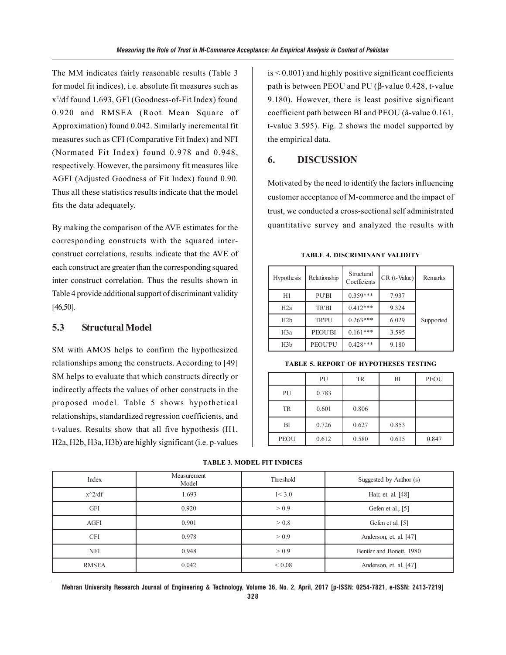The MM indicates fairly reasonable results (Table 3 for model fit indices), i.e. absolute fit measures such as x2 /df found 1.693, GFI (Goodness-of-Fit Index) found 0.920 and RMSEA (Root Mean Square of Approximation) found 0.042. Similarly incremental fit measures such as CFI (Comparative Fit Index) and NFI (Normated Fit Index) found 0.978 and 0.948, respectively. However, the parsimony fit measures like AGFI (Adjusted Goodness of Fit Index) found 0.90. Thus all these statistics results indicate that the model fits the data adequately.

By making the comparison of the AVE estimates for the corresponding constructs with the squared interconstruct correlations, results indicate that the AVE of each construct are greater than the corresponding squared inter construct correlation. Thus the results shown in Table 4 provide additional support of discriminant validity [46,50].

## **5.3 Structural Model**

SM with AMOS helps to confirm the hypothesized relationships among the constructs. According to [49] SM helps to evaluate that which constructs directly or indirectly affects the values of other constructs in the proposed model. Table 5 shows hypothetical relationships, standardized regression coefficients, and t-values. Results show that all five hypothesis (H1, H2a, H2b, H3a, H3b) are highly significant (i.e. p-values is < 0.001) and highly positive significant coefficients path is between PEOU and PU (β-value 0.428, t-value 9.180). However, there is least positive significant coefficient path between BI and PEOU (â-value 0.161, t-value 3.595). Fig. 2 shows the model supported by the empirical data.

#### **6. DISCUSSION**

Motivated by the need to identify the factors influencing customer acceptance of M-commerce and the impact of trust, we conducted a cross-sectional self administrated quantitative survey and analyzed the results with

| Hypothesis       | Relationship   | Structural<br>Coefficients | $CR$ (t-Value) | Remarks   |
|------------------|----------------|----------------------------|----------------|-----------|
| H1               | <b>PU'BI</b>   | $0.359***$                 | 7.937          |           |
| H <sub>2</sub> a | <b>TR'BI</b>   | $0.412***$                 | 9.324          |           |
| H2b              | <b>TR'PU</b>   | $0.263***$                 | 6.029          | Supported |
| H <sub>3</sub> a | <b>PEOU'BI</b> | $0.161***$                 | 3.595          |           |
| H <sub>3</sub> b | <b>PEOU'PU</b> | $0.428***$                 | 9.180          |           |

**TABLE 4. DISCRIMINANT VALIDITY**

**TABLE 5. REPORT OF HYPOTHESES TESTING**

|             | PU    | <b>TR</b> | BI    | <b>PEOU</b> |
|-------------|-------|-----------|-------|-------------|
| PU          | 0.783 |           |       |             |
| <b>TR</b>   | 0.601 | 0.806     |       |             |
| BI          | 0.726 | 0.627     | 0.853 |             |
| <b>PEOU</b> | 0.612 | 0.580     | 0.615 | 0.847       |

#### **TABLE 3. MODEL FIT INDICES**

| Index        | Measurement<br>Model | Threshold | Suggested by Author (s)  |
|--------------|----------------------|-----------|--------------------------|
| $x^2/df$     | 1.693                | 1 < 3.0   | Hair, et. al. [48]       |
| <b>GFI</b>   | 0.920                | > 0.9     | Gefen et al., [5]        |
| AGFI         | 0.901                | > 0.8     | Gefen et al. [5]         |
| <b>CFI</b>   | 0.978                | > 0.9     | Anderson, et. al. [47]   |
| <b>NFI</b>   | 0.948                | > 0.9     | Bentler and Bonett, 1980 |
| <b>RMSEA</b> | 0.042                | 0.08 <    | Anderson, et. al. [47]   |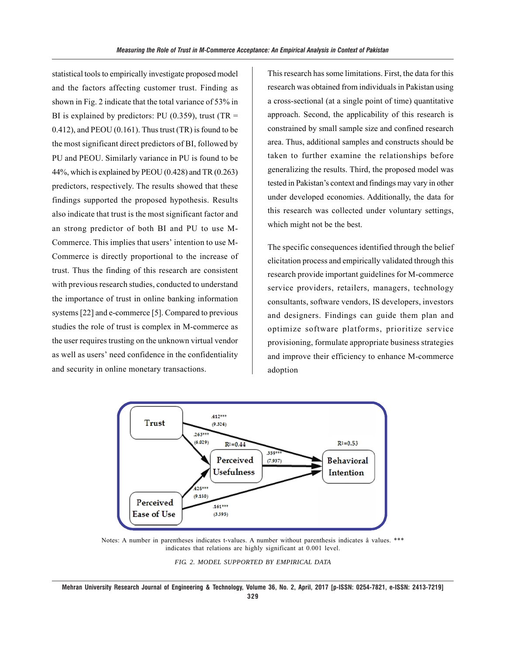statistical tools to empirically investigate proposed model and the factors affecting customer trust. Finding as shown in Fig. 2 indicate that the total variance of 53% in BI is explained by predictors: PU (0.359), trust (TR  $=$ 0.412), and PEOU (0.161). Thus trust (TR) is found to be the most significant direct predictors of BI, followed by PU and PEOU. Similarly variance in PU is found to be 44%, which is explained by PEOU (0.428) and TR (0.263) predictors, respectively. The results showed that these findings supported the proposed hypothesis. Results also indicate that trust is the most significant factor and an strong predictor of both BI and PU to use M-Commerce. This implies that users' intention to use M-Commerce is directly proportional to the increase of trust. Thus the finding of this research are consistent with previous research studies, conducted to understand the importance of trust in online banking information systems [22] and e-commerce [5]. Compared to previous studies the role of trust is complex in M-commerce as the user requires trusting on the unknown virtual vendor as well as users' need confidence in the confidentiality and security in online monetary transactions.

This research has some limitations. First, the data for this research was obtained from individuals in Pakistan using a cross-sectional (at a single point of time) quantitative approach. Second, the applicability of this research is constrained by small sample size and confined research area. Thus, additional samples and constructs should be taken to further examine the relationships before generalizing the results. Third, the proposed model was tested in Pakistan's context and findings may vary in other under developed economies. Additionally, the data for this research was collected under voluntary settings, which might not be the best.

The specific consequences identified through the belief elicitation process and empirically validated through this research provide important guidelines for M-commerce service providers, retailers, managers, technology consultants, software vendors, IS developers, investors and designers. Findings can guide them plan and optimize software platforms, prioritize service provisioning, formulate appropriate business strategies and improve their efficiency to enhance M-commerce adoption



Notes: A number in parentheses indicates t-values. A number without parenthesis indicates â values. \*\*\* indicates that relations are highly significant at 0.001 level.

*FIG. 2. MODEL SUPPORTED BY EMPIRICAL DATA*

**Mehran University Research Journal of Engineering & Technology, Volume 36, No. 2, April, 2017 [p-ISSN: 0254-7821, e-ISSN: 2413-7219] 329**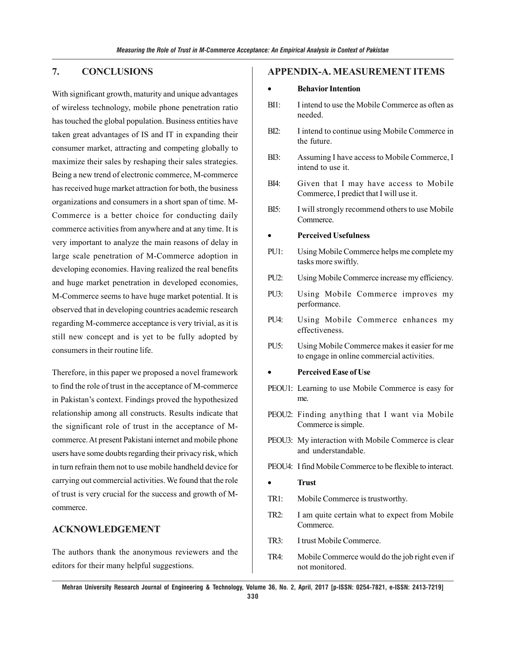## **7. CONCLUSIONS**

With significant growth, maturity and unique advantages of wireless technology, mobile phone penetration ratio has touched the global population. Business entities have taken great advantages of IS and IT in expanding their consumer market, attracting and competing globally to maximize their sales by reshaping their sales strategies. Being a new trend of electronic commerce, M-commerce has received huge market attraction for both, the business organizations and consumers in a short span of time. M-Commerce is a better choice for conducting daily commerce activities from anywhere and at any time. It is very important to analyze the main reasons of delay in large scale penetration of M-Commerce adoption in developing economies. Having realized the real benefits and huge market penetration in developed economies, M-Commerce seems to have huge market potential. It is observed that in developing countries academic research regarding M-commerce acceptance is very trivial, as it is still new concept and is yet to be fully adopted by consumers in their routine life.

Therefore, in this paper we proposed a novel framework to find the role of trust in the acceptance of M-commerce in Pakistan's context. Findings proved the hypothesized relationship among all constructs. Results indicate that the significant role of trust in the acceptance of Mcommerce. At present Pakistani internet and mobile phone users have some doubts regarding their privacy risk, which in turn refrain them not to use mobile handheld device for carrying out commercial activities. We found that the role of trust is very crucial for the success and growth of Mcommerce.

## **ACKNOWLEDGEMENT**

The authors thank the anonymous reviewers and the editors for their many helpful suggestions.

#### **APPENDIX-A. MEASUREMENT ITEMS**

#### • **Behavior Intention**

- BI1: I intend to use the Mobile Commerce as often as needed.
- BI2: I intend to continue using Mobile Commerce in the future.
- BI3: Assuming I have access to Mobile Commerce, I intend to use it.
- BI4: Given that I may have access to Mobile Commerce, I predict that I will use it.
- BI5: I will strongly recommend others to use Mobile Commerce.

#### • **Perceived Usefulness**

- PU1: Using Mobile Commerce helps me complete my tasks more swiftly.
- PU2: Using Mobile Commerce increase my efficiency.
- PU3: Using Mobile Commerce improves my performance.
- PU4: Using Mobile Commerce enhances my effectiveness.
- PU5: Using Mobile Commerce makes it easier for me to engage in online commercial activities.

#### • **Perceived Ease of Use**

- PEOU1: Learning to use Mobile Commerce is easy for me.
- PEOU2: Finding anything that I want via Mobile Commerce is simple.
- PEOU3: My interaction with Mobile Commerce is clear and understandable.
- PEOU4: I find Mobile Commerce to be flexible to interact.
- **Trust**
- TR1: Mobile Commerce is trustworthy.
- TR2: I am quite certain what to expect from Mobile Commerce.
- TR3: I trust Mobile Commerce.
- TR4: Mobile Commerce would do the job right even if not monitored.

**Mehran University Research Journal of Engineering & Technology, Volume 36, No. 2, April, 2017 [p-ISSN: 0254-7821, e-ISSN: 2413-7219]**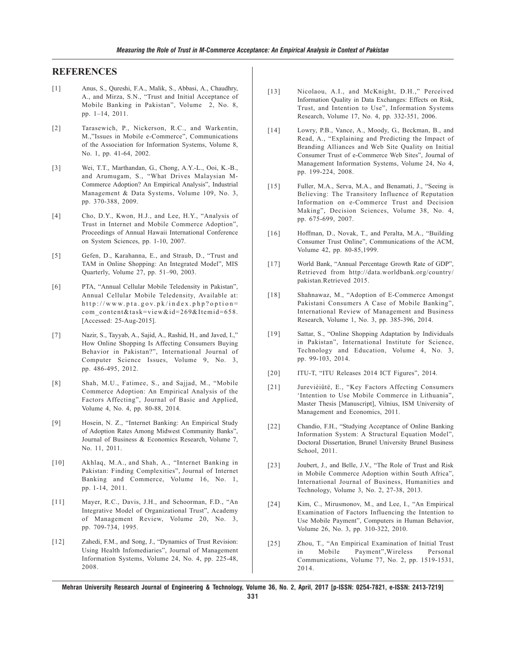#### **REFERENCES**

- [1] Anus, S., Qureshi, F.A., Malik, S., Abbasi, A., Chaudhry, A., and Mirza, S.N., "Trust and Initial Acceptance of Mobile Banking in Pakistan", Volume 2, No. 8, pp. 1–14, 2011.
- [2] Tarasewich, P., Nickerson, R.C., and Warkentin, M.,"Issues in Mobile e-Commerce", Communications of the Association for Information Systems, Volume 8, No. 1, pp. 41-64, 2002.
- [3] Wei, T.T., Marthandan, G., Chong, A.Y.-L., Ooi, K.-B., and Arumugam, S., "What Drives Malaysian M-Commerce Adoption? An Empirical Analysis", Industrial Management & Data Systems, Volume 109, No. 3, pp. 370-388, 2009.
- [4] Cho, D.Y., Kwon, H.J., and Lee, H.Y., "Analysis of Trust in Internet and Mobile Commerce Adoption", Proceedings of Annual Hawaii International Conference on System Sciences, pp. 1-10, 2007.
- [5] Gefen, D., Karahanna, E., and Straub, D., "Trust and TAM in Online Shopping: An Integrated Model", MIS Quarterly, Volume 27, pp. 51–90, 2003.
- [6] PTA, "Annual Cellular Mobile Teledensity in Pakistan", Annual Cellular Mobile Teledensity, Available at: http://www.pta.gov.pk/index.php?option= com\_content&task=view&id=269&Itemid=658. [Accessed: 25-Aug-2015].
- [7] Nazir, S., Tayyab, A., Sajid, A., Rashid, H., and Javed, I.," How Online Shopping Is Affecting Consumers Buying Behavior in Pakistan?", International Journal of Computer Science Issues, Volume 9, No. 3, pp. 486-495, 2012.
- [8] Shah, M.U., Fatimee, S., and Sajjad, M., "Mobile Commerce Adoption: An Empirical Analysis of the Factors Affecting", Journal of Basic and Applied, Volume 4, No. 4, pp. 80-88, 2014.
- [9] Hosein, N. Z., "Internet Banking: An Empirical Study of Adoption Rates Among Midwest Community Banks", Journal of Business & Economics Research, Volume 7, No. 11, 2011.
- [10] Akhlaq, M.A., and Shah, A., "Internet Banking in Pakistan: Finding Complexities", Journal of Internet Banking and Commerce, Volume 16, No. 1, pp. 1-14, 2011.
- [11] Mayer, R.C., Davis, J.H., and Schoorman, F.D., "An Integrative Model of Organizational Trust", Academy of Management Review, Volume 20, No. 3, pp. 709-734, 1995.
- [12] Zahedi, F.M., and Song, J., "Dynamics of Trust Revision: Using Health Infomediaries", Journal of Management Information Systems, Volume 24, No. 4, pp. 225-48, 2008.
- [13] Nicolaou, A.I., and McKnight, D.H.," Perceived Information Quality in Data Exchanges: Effects on Risk, Trust, and Intention to Use", Information Systems Research, Volume 17, No. 4, pp. 332-351, 2006.
- [14] Lowry, P.B., Vance, A., Moody, G., Beckman, B., and Read, A., "Explaining and Predicting the Impact of Branding Alliances and Web Site Quality on Initial Consumer Trust of e-Commerce Web Sites", Journal of Management Information Systems, Volume 24, No 4, pp. 199-224, 2008.
- [15] Fuller, M.A., Serva, M.A., and Benamati, J., "Seeing is Believing: The Transitory Influence of Reputation Information on e-Commerce Trust and Decision Making", Decision Sciences, Volume 38, No. 4, pp. 675-699, 2007.
- [16] Hoffman, D., Novak, T., and Peralta, M.A., "Building Consumer Trust Online", Communications of the ACM, Volume 42, pp. 80-85,1999.
- [17] World Bank, "Annual Percentage Growth Rate of GDP", Retrieved from http://data.worldbank.org/country/ pakistan.Retrieved 2015.
- [18] Shahnawaz, M., "Adoption of E-Commerce Amongst Pakistani Consumers A Case of Mobile Banking", International Review of Management and Business Research, Volume 1, No. 3, pp. 385-396, 2014.
- [19] Sattar, S., "Online Shopping Adaptation by Individuals in Pakistan", International Institute for Science, Technology and Education, Volume 4, No. 3, pp. 99-103, 2014.
- [20] ITU-T, "ITU Releases 2014 ICT Figures", 2014.
- [21] Jurevièiûtë, E., "Key Factors Affecting Consumers 'Intention to Use Mobile Commerce in Lithuania", Master Thesis [Manuscript], Vilnius, ISM University of Management and Economics, 2011.
- [22] Chandio, F.H., "Studying Acceptance of Online Banking Information System: A Structural Equation Model", Doctoral Dissertation, Brunel University Brunel Business School, 2011.
- [23] Joubert, J., and Belle, J.V., "The Role of Trust and Risk in Mobile Commerce Adoption within South Africa", International Journal of Business, Humanities and Technology, Volume 3, No. 2, 27-38, 2013.
- [24] Kim, C., Mirusmonov, M., and Lee, I., "An Empirical Examination of Factors Influencing the Intention to Use Mobile Payment", Computers in Human Behavior, Volume 26, No. 3, pp. 310-322, 2010.
- [25] Zhou, T., "An Empirical Examination of Initial Trust in Mobile Payment",Wireless Personal Communications, Volume 77, No. 2, pp. 1519-1531, 2014.